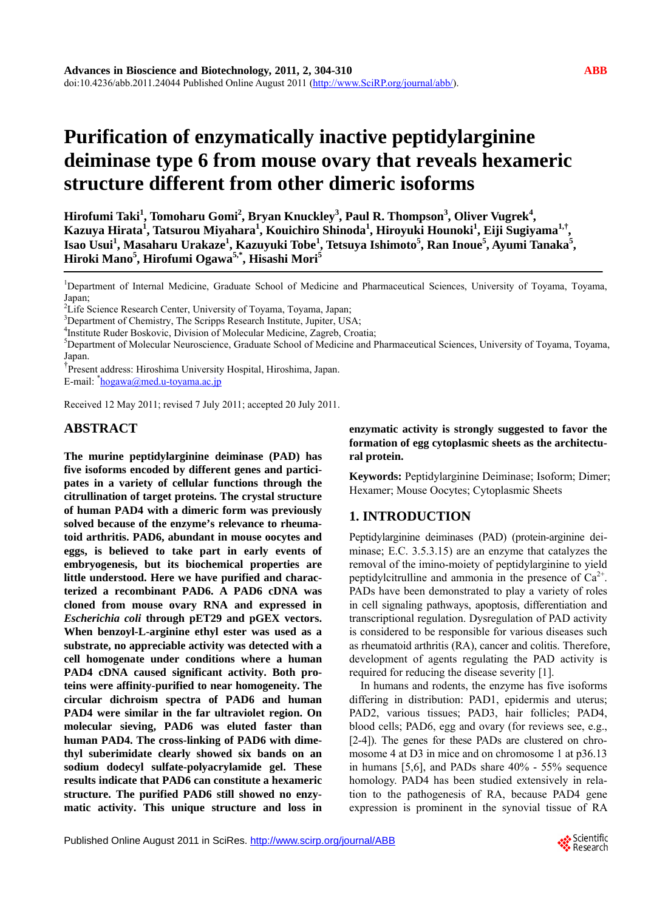# **Purification of enzymatically inactive peptidylarginine deiminase type 6 from mouse ovary that reveals hexameric structure different from other dimeric isoforms**

 $\bf{Hirofumi~Taki}^1$ ,  $\bf{Tomoharu~Gomi}^2$ ,  $\bf{Bryan~Knuckley}^3$ ,  $\bf{Paul~R.~Thompson}^3$ ,  $\bf{Oliver~Vugrek}^4$ , **Kazuya Hirata<sup>1</sup> , Tatsurou Miyahara1 , Kouichiro Shinoda1 , Hiroyuki Hounoki1 , Eiji Sugiyama1,†,**   $\bf{I}$ sao Usui<sup>1</sup>, Masaharu Urakaze<sup>1</sup>, Kazuyuki Tobe<sup>1</sup>, Tetsuya Ishimoto<sup>5</sup>, Ran Inoue<sup>5</sup>, Ayumi Tanaka<sup>5</sup>, **Hiroki Mano5 , Hirofumi Ogawa5,\*, Hisashi Mori5**

<sup>1</sup>Department of Internal Medicine, Graduate School of Medicine and Pharmaceutical Sciences, University of Toyama, Toyama, Japan;

<sup>4</sup>Institute Ruder Boskovic, Division of Molecular Medicine, Zagreb, Croatia;

Department of Molecular Neuroscience, Graduate School of Medicine and Pharmaceutical Sciences, University of Toyama, Toyama, Japan.

† Present address: Hiroshima University Hospital, Hiroshima, Japan.

E-mail: <sup>\*</sup>[hogawa@med.u-toyama.ac.jp](mailto:hogawa@med.u-toyama.ac.jp)

Received 12 May 2011; revised 7 July 2011; accepted 20 July 2011.

# **ABSTRACT**

**The murine peptidylarginine deiminase (PAD) has five isoforms encoded by different genes and participates in a variety of cellular functions through the citrullination of target proteins. The crystal structure of human PAD4 with a dimeric form was previously solved because of the enzyme's relevance to rheumatoid arthritis. PAD6, abundant in mouse oocytes and eggs, is believed to take part in early events of embryogenesis, but its biochemical properties are little understood. Here we have purified and characterized a recombinant PAD6. A PAD6 cDNA was cloned from mouse ovary RNA and expressed in**  *Escherichia coli* **through pET29 and pGEX vectors. When benzoyl-L-arginine ethyl ester was used as a substrate, no appreciable activity was detected with a cell homogenate under conditions where a human PAD4 cDNA caused significant activity. Both proteins were affinity-purified to near homogeneity. The circular dichroism spectra of PAD6 and human PAD4 were similar in the far ultraviolet region. On molecular sieving, PAD6 was eluted faster than human PAD4. The cross-linking of PAD6 with dimethyl suberimidate clearly showed six bands on an sodium dodecyl sulfate-polyacrylamide gel. These results indicate that PAD6 can constitute a hexameric structure. The purified PAD6 still showed no enzymatic activity. This unique structure and loss in** 

## **enzymatic activity is strongly suggested to favor the formation of egg cytoplasmic sheets as the architectural protein.**

**Keywords:** Peptidylarginine Deiminase; Isoform; Dimer; Hexamer; Mouse Oocytes; Cytoplasmic Sheets

# **1. INTRODUCTION**

Peptidylarginine deiminases (PAD) (protein-arginine deiminase; E.C. 3.5.3.15) are an enzyme that catalyzes the removal of the imino-moiety of peptidylarginine to yield peptidylcitrulline and ammonia in the presence of  $Ca^{2+}$ . PADs have been demonstrated to play a variety of roles in cell signaling pathways, apoptosis, differentiation and transcriptional regulation. Dysregulation of PAD activity is considered to be responsible for various diseases such as rheumatoid arthritis (RA), cancer and colitis. Therefore, development of agents regulating the PAD activity is required for reducing the disease severity [1].

In humans and rodents, the enzyme has five isoforms differing in distribution: PAD1, epidermis and uterus; PAD2, various tissues; PAD3, hair follicles; PAD4, blood cells; PAD6, egg and ovary (for reviews see, e.g., [2-4]). The genes for these PADs are clustered on chromosome 4 at D3 in mice and on chromosome 1 at p36.13 in humans [5,6], and PADs share 40% - 55% sequence homology. PAD4 has been studied extensively in relation to the pathogenesis of RA, because PAD4 gene expression is prominent in the synovial tissue of RA



<sup>&</sup>lt;sup>2</sup>Life Science Research Center, University of Toyama, Toyama, Japan;<br><sup>3</sup>Department of Chamistry, The Serings Research Institute, Juniter, US

<sup>&</sup>lt;sup>3</sup>Department of Chemistry, The Scripps Research Institute, Jupiter, USA;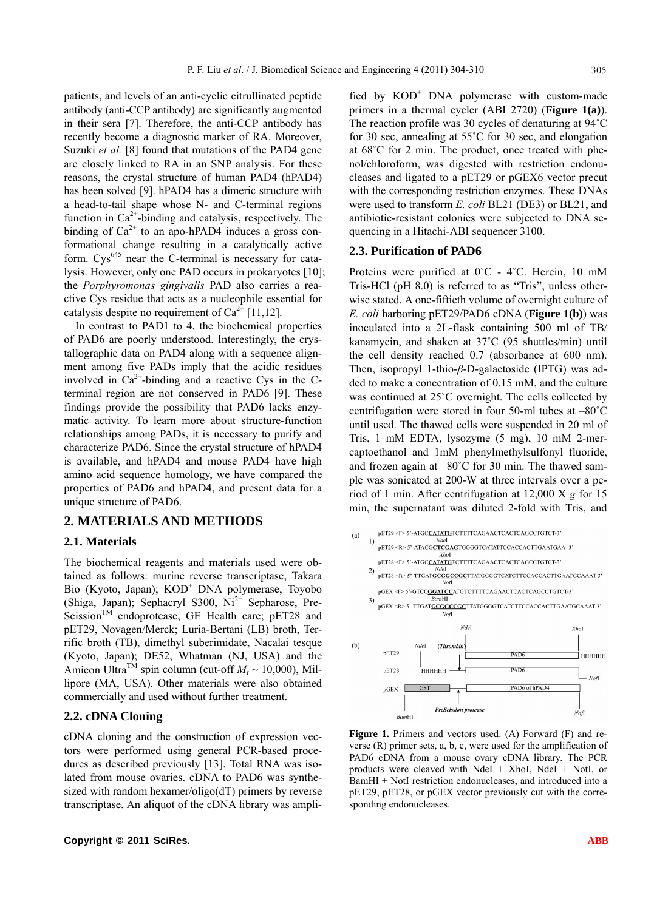patients, and levels of an anti-cyclic citrullinated peptide antibody (anti-CCP antibody) are significantly augmented in their sera [7]. Therefore, the anti-CCP antibody has recently become a diagnostic marker of RA. Moreover, Suzuki *et al.* [8] found that mutations of the PAD4 gene are closely linked to RA in an SNP analysis. For these reasons, the crystal structure of human PAD4 (hPAD4) has been solved [9]. hPAD4 has a dimeric structure with a head-to-tail shape whose N- and C-terminal regions function in  $Ca^{2+}$ -binding and catalysis, respectively. The binding of  $Ca^{2+}$  to an apo-hPAD4 induces a gross conformational change resulting in a catalytically active form.  $Cys^{645}$  near the C-terminal is necessary for catalysis. However, only one PAD occurs in prokaryotes [10]; the *Porphyromonas gingivalis* PAD also carries a reactive Cys residue that acts as a nucleophile essential for catalysis despite no requirement of  $Ca^{2+}$  [11,12].

In contrast to PAD1 to 4, the biochemical properties of PAD6 are poorly understood. Interestingly, the crystallographic data on PAD4 along with a sequence alignment among five PADs imply that the acidic residues involved in  $Ca^{2+}$ -binding and a reactive Cys in the Cterminal region are not conserved in PAD6 [9]. These findings provide the possibility that PAD6 lacks enzymatic activity. To learn more about structure-function relationships among PADs, it is necessary to purify and characterize PAD6. Since the crystal structure of hPAD4 is available, and hPAD4 and mouse PAD4 have high amino acid sequence homology, we have compared the properties of PAD6 and hPAD4, and present data for a unique structure of PAD6.

## **2. MATERIALS AND METHODS**

#### **2.1. Materials**

The biochemical reagents and materials used were obtained as follows: murine reverse transcriptase, Takara Bio (Kyoto, Japan); KOD<sup>+</sup> DNA polymerase, Toyobo (Shiga, Japan); Sephacryl S300,  $Ni^{2+}$  Sepharose, Pre- $Scission<sup>TM</sup>$  endoprotease, GE Health care; pET28 and pET29, Novagen/Merck; Luria-Bertani (LB) broth, Terrific broth (TB), dimethyl suberimidate, Nacalai tesque (Kyoto, Japan); DE52, Whatman (NJ, USA) and the Amicon Ultra<sup>TM</sup> spin column (cut-off  $M_r \sim 10,000$ ), Millipore (MA, USA). Other materials were also obtained commercially and used without further treatment.

#### **2.2. cDNA Cloning**

cDNA cloning and the construction of expression vectors were performed using general PCR-based procedures as described previously [13]. Total RNA was isolated from mouse ovaries. cDNA to PAD6 was synthesized with random hexamer/oligo(dT) primers by reverse transcriptase. An aliquot of the cDNA library was amplified by  $KOD<sup>+</sup> DNA$  polymerase with custom-made primers in a thermal cycler (ABI 2720) (**Figure 1(a)**). The reaction profile was 30 cycles of denaturing at 94˚C for 30 sec, annealing at 55˚C for 30 sec, and elongation at 68˚C for 2 min. The product, once treated with phenol/chloroform, was digested with restriction endonucleases and ligated to a pET29 or pGEX6 vector precut with the corresponding restriction enzymes. These DNAs were used to transform *E. coli* BL21 (DE3) or BL21, and antibiotic-resistant colonies were subjected to DNA sequencing in a Hitachi-ABI sequencer 3100.

## **2.3. Purification of PAD6**

Proteins were purified at 0˚C - 4˚C. Herein, 10 mM Tris-HCl (pH 8.0) is referred to as "Tris", unless otherwise stated. A one-fiftieth volume of overnight culture of *E. coli* harboring pET29/PAD6 cDNA (**Figure 1(b)**) was inoculated into a 2L-flask containing 500 ml of TB/ kanamycin, and shaken at 37˚C (95 shuttles/min) until the cell density reached 0.7 (absorbance at 600 nm). Then, isopropyl 1-thio-*β*-D-galactoside (IPTG) was added to make a concentration of 0.15 mM, and the culture was continued at 25˚C overnight. The cells collected by centrifugation were stored in four 50-ml tubes at –80˚C until used. The thawed cells were suspended in 20 ml of Tris, 1 mM EDTA, lysozyme (5 mg), 10 mM 2-mercaptoethanol and 1mM phenylmethylsulfonyl fluoride, and frozen again at  $-80^{\circ}$ C for 30 min. The thawed sample was sonicated at 200-W at three intervals over a period of 1 min. After centrifugation at 12,000 X *g* for 15 min, the supernatant was diluted 2-fold with Tris, and



Figure 1. Primers and vectors used. (A) Forward (F) and reverse (R) primer sets, a, b, c, were used for the amplification of PAD6 cDNA from a mouse ovary cDNA library. The PCR products were cleaved with NdeI + XhoI, NdeI + NotI, or BamHI + NotI restriction endonucleases, and introduced into a pET29, pET28, or pGEX vector previously cut with the corresponding endonucleases.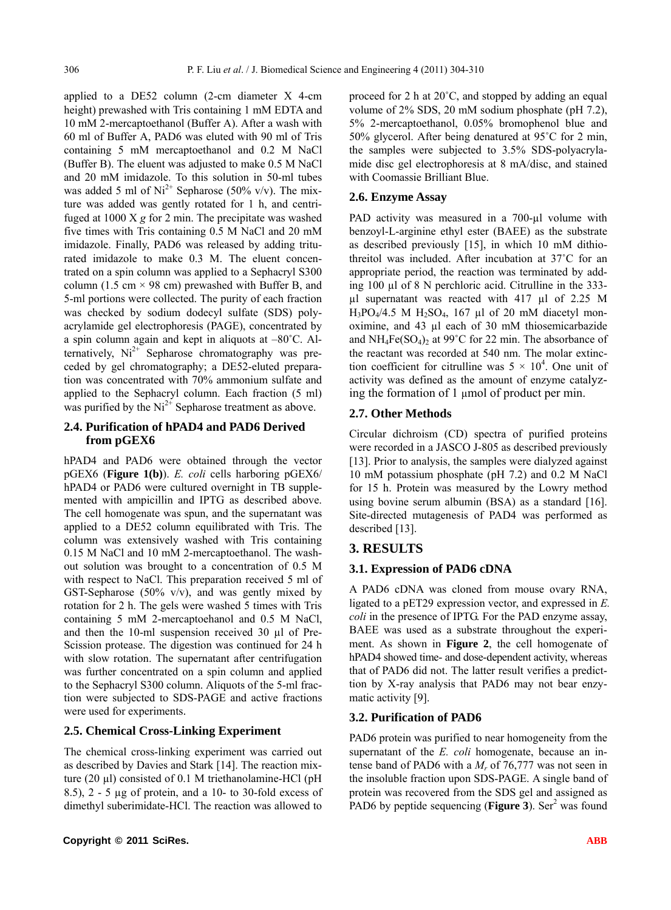applied to a DE52 column (2-cm diameter X 4-cm height) prewashed with Tris containing 1 mM EDTA and 10 mM 2-mercaptoethanol (Buffer A). After a wash with 60 ml of Buffer A, PAD6 was eluted with 90 ml of Tris containing 5 mM mercaptoethanol and 0.2 M NaCl (Buffer B). The eluent was adjusted to make 0.5 M NaCl and 20 mM imidazole. To this solution in 50-ml tubes was added 5 ml of  $Ni^{2+}$  Sepharose (50% v/v). The mixture was added was gently rotated for 1 h, and centrifuged at 1000 X *g* for 2 min. The precipitate was washed five times with Tris containing 0.5 M NaCl and 20 mM imidazole. Finally, PAD6 was released by adding triturated imidazole to make 0.3 M. The eluent concentrated on a spin column was applied to a Sephacryl S300 column (1.5 cm  $\times$  98 cm) prewashed with Buffer B, and 5-ml portions were collected. The purity of each fraction was checked by sodium dodecyl sulfate (SDS) polyacrylamide gel electrophoresis (PAGE), concentrated by a spin column again and kept in aliquots at –80˚C. Alternatively,  $Ni^{2+}$  Sepharose chromatography was preceded by gel chromatography; a DE52-eluted preparation was concentrated with 70% ammonium sulfate and applied to the Sephacryl column. Each fraction (5 ml) was purified by the  $Ni<sup>2+</sup>$  Sepharose treatment as above.

## **2.4. Purification of hPAD4 and PAD6 Derived from pGEX6**

hPAD4 and PAD6 were obtained through the vector pGEX6 (**Figure 1(b)**). *E. coli* cells harboring pGEX6/ hPAD4 or PAD6 were cultured overnight in TB supplemented with ampicillin and IPTG as described above. The cell homogenate was spun, and the supernatant was applied to a DE52 column equilibrated with Tris. The column was extensively washed with Tris containing 0.15 M NaCl and 10 mM 2-mercaptoethanol. The washout solution was brought to a concentration of 0.5 M with respect to NaCl. This preparation received 5 ml of GST-Sepharose (50% v/v), and was gently mixed by rotation for 2 h. The gels were washed 5 times with Tris containing 5 mM 2-mercaptoehanol and 0.5 M NaCl, and then the 10-ml suspension received 30 µl of Pre-Scission protease. The digestion was continued for 24 h with slow rotation. The supernatant after centrifugation was further concentrated on a spin column and applied to the Sephacryl S300 column. Aliquots of the 5-ml fraction were subjected to SDS-PAGE and active fractions were used for experiments.

# **2.5. Chemical Cross-Linking Experiment**

The chemical cross-linking experiment was carried out as described by Davies and Stark [14]. The reaction mixture (20 µl) consisted of 0.1 M triethanolamine-HCl (pH 8.5), 2 - 5 µg of protein, and a 10- to 30-fold excess of dimethyl suberimidate-HCl. The reaction was allowed to

proceed for 2 h at 20˚C, and stopped by adding an equal volume of 2% SDS, 20 mM sodium phosphate (pH 7.2), 5% 2-mercaptoethanol, 0.05% bromophenol blue and 50% glycerol. After being denatured at 95˚C for 2 min, the samples were subjected to 3.5% SDS-polyacrylamide disc gel electrophoresis at 8 mA/disc, and stained with Coomassie Brilliant Blue.

## **2.6. Enzyme Assay**

PAD activity was measured in a 700-µl volume with benzoyl-L-arginine ethyl ester (BAEE) as the substrate as described previously [15], in which 10 mM dithiothreitol was included. After incubation at 37˚C for an appropriate period, the reaction was terminated by adding 100 µl of 8 N perchloric acid. Citrulline in the 333 µl supernatant was reacted with 417 µl of 2.25 M  $H_3PO_4/4.5$  M  $H_2SO_4$ , 167 µl of 20 mM diacetyl monoximine, and 43 µl each of 30 mM thiosemicarbazide and  $NH_4Fe(SO_4)_2$  at 99°C for 22 min. The absorbance of the reactant was recorded at 540 nm. The molar extinction coefficient for citrulline was  $5 \times 10^4$ . One unit of activity was defined as the amount of enzyme catalyzing the formation of 1 µmol of product per min.

# **2.7. Other Methods**

Circular dichroism (CD) spectra of purified proteins were recorded in a JASCO J-805 as described previously [13]. Prior to analysis, the samples were dialyzed against 10 mM potassium phosphate (pH 7.2) and 0.2 M NaCl for 15 h. Protein was measured by the Lowry method using bovine serum albumin (BSA) as a standard [16]. Site-directed mutagenesis of PAD4 was performed as described [13].

# **3. RESULTS**

## **3.1. Expression of PAD6 cDNA**

A PAD6 cDNA was cloned from mouse ovary RNA, ligated to a pET29 expression vector, and expressed in *E. coli* in the presence of IPTG. For the PAD enzyme assay, BAEE was used as a substrate throughout the experiment. As shown in **Figure 2**, the cell homogenate of hPAD4 showed time- and dose-dependent activity, whereas that of PAD6 did not. The latter result verifies a predicttion by X-ray analysis that PAD6 may not bear enzymatic activity [9].

## **3.2. Purification of PAD6**

PAD6 protein was purified to near homogeneity from the supernatant of the *E. coli* homogenate, because an intense band of PAD6 with a *Mr* of 76,777 was not seen in the insoluble fraction upon SDS-PAGE. A single band of protein was recovered from the SDS gel and assigned as PAD6 by peptide sequencing (**Figure 3**). Ser<sup>2</sup> was found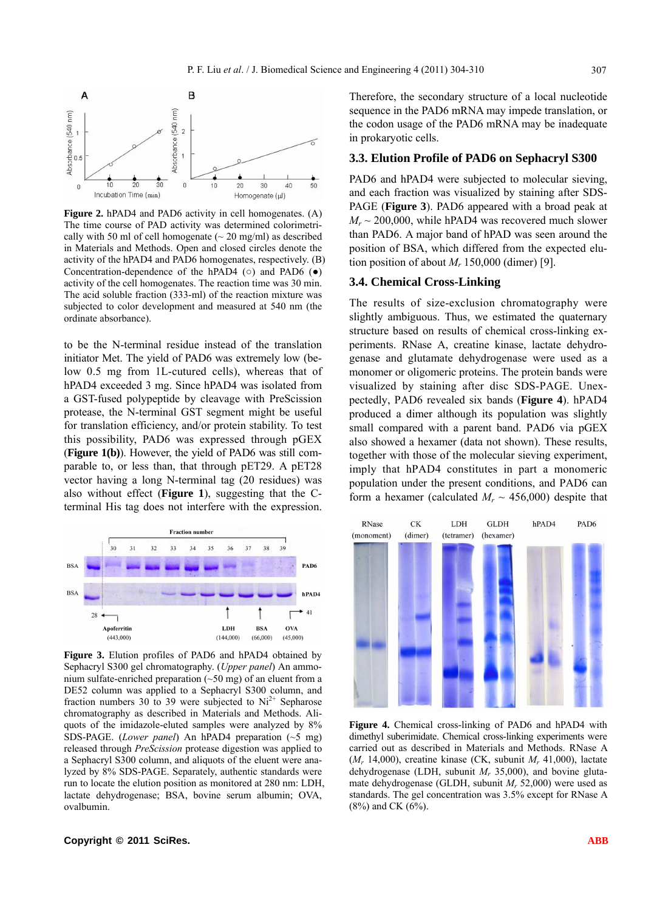

**Figure 2.** hPAD4 and PAD6 activity in cell homogenates. (A) The time course of PAD activity was determined colorimetrically with 50 ml of cell homogenate  $({\sim} 20 \text{ mg/ml})$  as described in Materials and Methods. Open and closed circles denote the activity of the hPAD4 and PAD6 homogenates, respectively. (B) Concentration-dependence of the hPAD4 ( $\circ$ ) and PAD6 ( $\bullet$ ) activity of the cell homogenates. The reaction time was 30 min. The acid soluble fraction (333-ml) of the reaction mixture was subjected to color development and measured at 540 nm (the ordinate absorbance).

to be the N-terminal residue instead of the translation initiator Met. The yield of PAD6 was extremely low (below 0.5 mg from 1L-cutured cells), whereas that of hPAD4 exceeded 3 mg. Since hPAD4 was isolated from a GST-fused polypeptide by cleavage with PreScission protease, the N-terminal GST segment might be useful for translation efficiency, and/or protein stability. To test this possibility, PAD6 was expressed through pGEX (**Figure 1(b)**). However, the yield of PAD6 was still comparable to, or less than, that through pET29. A pET28 vector having a long N-terminal tag (20 residues) was also without effect (**Figure 1**), suggesting that the Cterminal His tag does not interfere with the expression.



**Figure 3.** Elution profiles of PAD6 and hPAD4 obtained by Sephacryl S300 gel chromatography. (*Upper panel*) An ammonium sulfate-enriched preparation (~50 mg) of an eluent from a DE52 column was applied to a Sephacryl S300 column, and fraction numbers 30 to 39 were subjected to  $Ni<sup>2+</sup>$  Sepharose chromatography as described in Materials and Methods. Aliquots of the imidazole-eluted samples were analyzed by 8% SDS-PAGE. (*Lower panel*) An hPAD4 preparation (~5 mg) released through *PreScission* protease digestion was applied to a Sephacryl S300 column, and aliquots of the eluent were analyzed by 8% SDS-PAGE. Separately, authentic standards were run to locate the elution position as monitored at 280 nm: LDH, lactate dehydrogenase; BSA, bovine serum albumin; OVA, ovalbumin.

Therefore, the secondary structure of a local nucleotide sequence in the PAD6 mRNA may impede translation, or the codon usage of the PAD6 mRNA may be inadequate in prokaryotic cells.

## **3.3. Elution Profile of PAD6 on Sephacryl S300**

PAD6 and hPAD4 were subjected to molecular sieving. and each fraction was visualized by staining after SDS-PAGE (**Figure 3**). PAD6 appeared with a broad peak at  $M_r \sim 200,000$ , while hPAD4 was recovered much slower than PAD6. A major band of hPAD was seen around the position of BSA, which differed from the expected elution position of about  $M_r$  150,000 (dimer) [9].

#### **3.4. Chemical Cross-Linking**

The results of size-exclusion chromatography were slightly ambiguous. Thus, we estimated the quaternary structure based on results of chemical cross-linking experiments. RNase A, creatine kinase, lactate dehydrogenase and glutamate dehydrogenase were used as a monomer or oligomeric proteins. The protein bands were visualized by staining after disc SDS-PAGE. Unexpectedly, PAD6 revealed six bands (**Figure 4**). hPAD4 produced a dimer although its population was slightly small compared with a parent band. PAD6 via pGEX also showed a hexamer (data not shown). These results, together with those of the molecular sieving experiment, imply that hPAD4 constitutes in part a monomeric population under the present conditions, and PAD6 can form a hexamer (calculated  $M_r \sim 456,000$ ) despite that



**Figure 4.** Chemical cross-linking of PAD6 and hPAD4 with dimethyl suberimidate. Chemical cross-linking experiments were carried out as described in Materials and Methods. RNase A (*Mr* 14,000), creatine kinase (CK, subunit *Mr* 41,000), lactate dehydrogenase (LDH, subunit *Mr* 35,000), and bovine glutamate dehydrogenase (GLDH, subunit *Mr* 52,000) were used as standards. The gel concentration was 3.5% except for RNase A (8%) and CK (6%).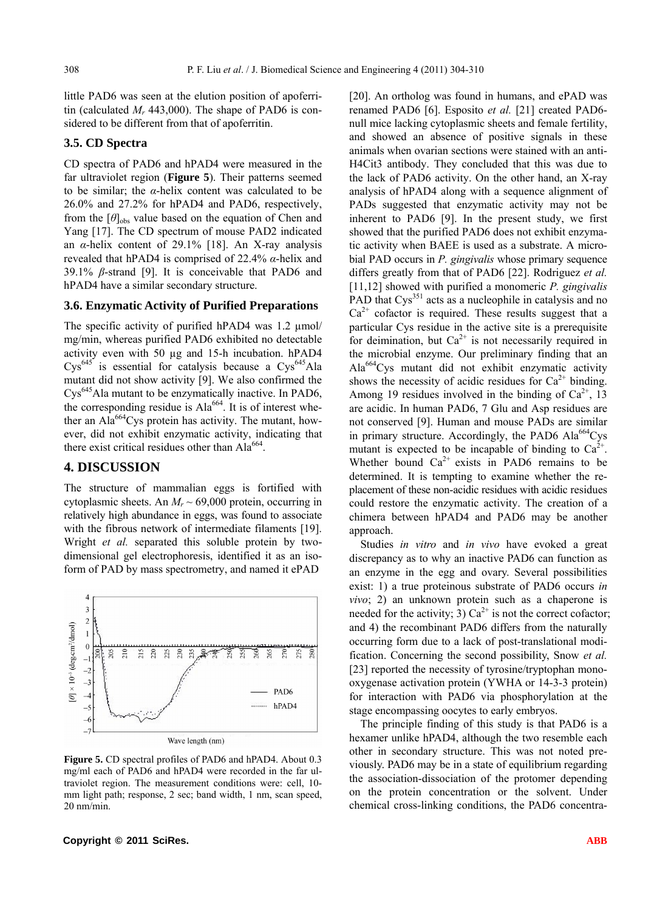little PAD6 was seen at the elution position of apoferritin (calculated M<sub>r</sub> 443,000). The shape of PAD6 is considered to be different from that of apoferritin.

#### **3.5. CD Spectra**

CD spectra of PAD6 and hPAD4 were measured in the far ultraviolet region (**Figure 5**). Their patterns seemed to be similar; the *α*-helix content was calculated to be 26.0% and 27.2% for hPAD4 and PAD6, respectively, from the  $[\theta]_{obs}$  value based on the equation of Chen and Yang [17]. The CD spectrum of mouse PAD2 indicated an *α*-helix content of 29.1% [18]. An X-ray analysis revealed that hPAD4 is comprised of 22.4% *α*-helix and 39.1% *β*-strand [9]. It is conceivable that PAD6 and hPAD4 have a similar secondary structure.

#### **3.6. Enzymatic Activity of Purified Preparations**

The specific activity of purified hPAD4 was 1.2  $\mu$ mol/ mg/min, whereas purified PAD6 exhibited no detectable activity even with 50 µg and 15-h incubation. hPAD4  $Cys^{645}$  is essential for catalysis because a  $Cys^{645}$ Ala mutant did not show activity [9]. We also confirmed the Cys645Ala mutant to be enzymatically inactive. In PAD6, the corresponding residue is  $Ala^{664}$ . It is of interest whether an Ala<sup>664</sup>Cys protein has activity. The mutant, however, did not exhibit enzymatic activity, indicating that there exist critical residues other than  $Ala^{664}$ .

## **4. DISCUSSION**

The structure of mammalian eggs is fortified with cytoplasmic sheets. An  $M_r \sim 69,000$  protein, occurring in relatively high abundance in eggs, was found to associate with the fibrous network of intermediate filaments [19]. Wright *et al.* separated this soluble protein by twodimensional gel electrophoresis, identified it as an isoform of PAD by mass spectrometry, and named it ePAD



**Figure 5.** CD spectral profiles of PAD6 and hPAD4. About 0.3 mg/ml each of PAD6 and hPAD4 were recorded in the far ultraviolet region. The measurement conditions were: cell, 10 mm light path; response, 2 sec; band width, 1 nm, scan speed, 20 nm/min.

[20]. An ortholog was found in humans, and ePAD was renamed PAD6 [6]. Esposito *et al.* [21] created PAD6 null mice lacking cytoplasmic sheets and female fertility, and showed an absence of positive signals in these animals when ovarian sections were stained with an anti-H4Cit3 antibody. They concluded that this was due to the lack of PAD6 activity. On the other hand, an X-ray analysis of hPAD4 along with a sequence alignment of PADs suggested that enzymatic activity may not be inherent to PAD6 [9]. In the present study, we first showed that the purified PAD6 does not exhibit enzymatic activity when BAEE is used as a substrate. A microbial PAD occurs in *P. gingivalis* whose primary sequence differs greatly from that of PAD6 [22]. Rodriguez *et al.*  [11,12] showed with purified a monomeric *P. gingivalis*  PAD that Cys<sup>351</sup> acts as a nucleophile in catalysis and no  $Ca<sup>2+</sup>$  cofactor is required. These results suggest that a particular Cys residue in the active site is a prerequisite for deimination, but  $Ca^{2+}$  is not necessarily required in the microbial enzyme. Our preliminary finding that an Ala664Cys mutant did not exhibit enzymatic activity shows the necessity of acidic residues for  $Ca^{2+}$  binding. Among 19 residues involved in the binding of  $Ca^{2+}$ , 13 are acidic. In human PAD6, 7 Glu and Asp residues are not conserved [9]. Human and mouse PADs are similar in primary structure. Accordingly, the PAD6  $\text{Ala}^{664}\text{Cys}$ mutant is expected to be incapable of binding to  $Ca^{2+}$ . Whether bound  $Ca^{2+}$  exists in PAD6 remains to be determined. It is tempting to examine whether the replacement of these non-acidic residues with acidic residues could restore the enzymatic activity. The creation of a chimera between hPAD4 and PAD6 may be another approach.

Studies *in vitro* and *in vivo* have evoked a great discrepancy as to why an inactive PAD6 can function as an enzyme in the egg and ovary. Several possibilities exist: 1) a true proteinous substrate of PAD6 occurs *in vivo*; 2) an unknown protein such as a chaperone is needed for the activity; 3)  $Ca^{2+}$  is not the correct cofactor; and 4) the recombinant PAD6 differs from the naturally occurring form due to a lack of post-translational modification. Concerning the second possibility, Snow *et al.* [23] reported the necessity of tyrosine/tryptophan monooxygenase activation protein (YWHA or 14-3-3 protein) for interaction with PAD6 via phosphorylation at the stage encompassing oocytes to early embryos.

The principle finding of this study is that PAD6 is a hexamer unlike hPAD4, although the two resemble each other in secondary structure. This was not noted previously. PAD6 may be in a state of equilibrium regarding the association-dissociation of the protomer depending on the protein concentration or the solvent. Under chemical cross-linking conditions, the PAD6 concentra-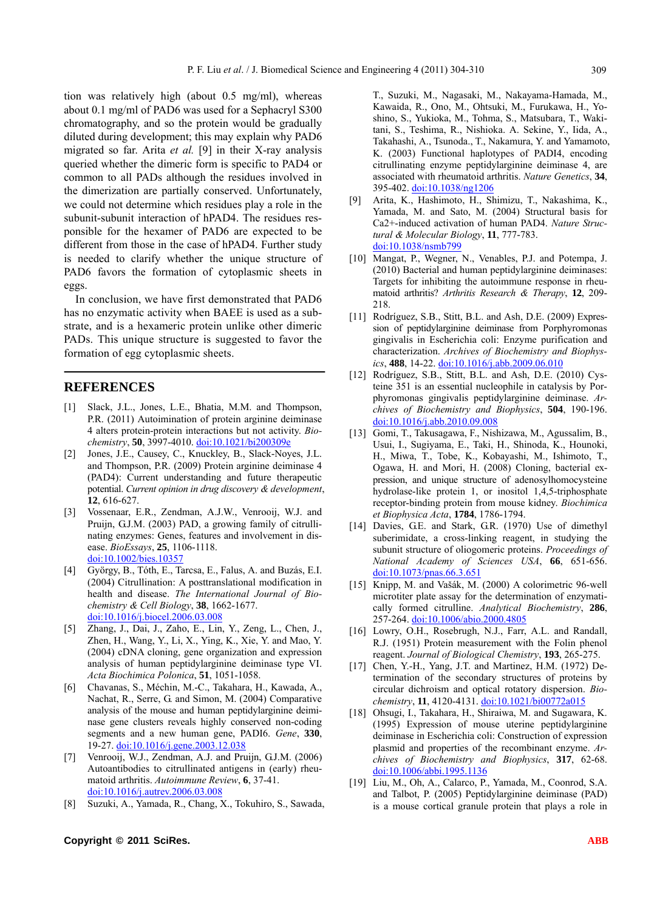tion was relatively high (about 0.5 mg/ml), whereas about 0.1 mg/ml of PAD6 was used for a Sephacryl S300 chromatography, and so the protein would be gradually diluted during development; this may explain why PAD6 migrated so far. Arita *et al.* [9] in their X-ray analysis queried whether the dimeric form is specific to PAD4 or common to all PADs although the residues involved in the dimerization are partially conserved. Unfortunately, we could not determine which residues play a role in the subunit-subunit interaction of hPAD4. The residues responsible for the hexamer of PAD6 are expected to be different from those in the case of hPAD4. Further study is needed to clarify whether the unique structure of PAD6 favors the formation of cytoplasmic sheets in eggs.

In conclusion, we have first demonstrated that PAD6 has no enzymatic activity when BAEE is used as a substrate, and is a hexameric protein unlike other dimeric PADs. This unique structure is suggested to favor the formation of egg cytoplasmic sheets.

## **REFERENCES**

- [1] Slack, J.L., Jones, L.E., Bhatia, M.M. and Thompson, P.R. (2011) Autoimination of protein arginine deiminase 4 alters protein-protein interactions but not activity. *Biochemistry*, **50**, 3997-4010. [doi:10.1021/bi200309e](http://dx.doi.org/10.1080/028418501127346846)
- [2] Jones, J.E., Causey, C., Knuckley, B., Slack-Noyes, J.L. and Thompson, P.R. (2009) Protein arginine deiminase 4 (PAD4): Current understanding and future therapeutic potential. *Current opinion in drug discovery & development*, **12**, 616-627.
- [3] Vossenaar, E.R., Zendman, A.J.W., Venrooij, W.J. and Pruijn, G.J.M. (2003) PAD, a growing family of citrullinating enzymes: Genes, features and involvement in disease. *BioEssays*, **25**, 1106-1118. [doi:10.1002/bies.10357](http://dx.doi.org/10.1109/9.402235)
- [4] György, B., Tóth, E., Tarcsa, E., Falus, A. and Buzás, E.I. (2004) Citrullination: A posttranslational modification in health and disease. *The International Journal of Biochemistry & Cell Biology*, **38**, 1662-1677. doi:10.1016/j.biocel.2006.03.008
- [5] Zhang, J., Dai, J., Zaho, E., Lin, Y., Zeng, L., Chen, J., Zhen, H., Wang, Y., Li, X., Ying, K., Xie, Y. and Mao, Y. (2004) cDNA cloning, gene organization and expression analysis of human peptidylarginine deiminase type VI. *Acta Biochimica Polonica*, **51**, 1051-1058.
- [6] Chavanas, S., Méchin, M.-C., Takahara, H., Kawada, A., Nachat, R., Serre, G. and Simon, M. (2004) Comparative analysis of the mouse and human peptidylarginine deiminase gene clusters reveals highly conserved non-coding segments and a new human gene, PADI6. *Gene*, **330**, 19-27. doi:10.1016/j.gene.2003.12.038
- [7] Venrooij, W.J., Zendman, A.J. and Pruijn, G.J.M. (2006) Autoantibodies to citrullinated antigens in (early) rheumatoid arthritis. *Autoimmune Review*, **6**, 37-41. doi:10.1016/j.autrev.2006.03.008
- [8] Suzuki, A., Yamada, R., Chang, X., Tokuhiro, S., Sawada,

T., Suzuki, M., Nagasaki, M., Nakayama-Hamada, M., Kawaida, R., Ono, M., Ohtsuki, M., Furukawa, H., Yoshino, S., Yukioka, M., Tohma, S., Matsubara, T., Wakitani, S., Teshima, R., Nishioka. A. Sekine, Y., Iida, A., Takahashi, A., Tsunoda., T., Nakamura, Y. and Yamamoto, K. (2003) Functional haplotypes of PADI4, encoding citrullinating enzyme peptidylarginine deiminase 4, are associated with rheumatoid arthritis. *Nature Genetics*, **34**, 395-402. doi:10.1038/ng1206

- [9] Arita, K., Hashimoto, H., Shimizu, T., Nakashima, K., Yamada, M. and Sato, M. (2004) Structural basis for Ca2+-induced activation of human PAD4. *Nature Structural & Molecular Biology*, **11**, 777-783. doi:10.1038/nsmb799
- [10] Mangat, P., Wegner, N., Venables, P.J. and Potempa, J. (2010) Bacterial and human peptidylarginine deiminases: Targets for inhibiting the autoimmune response in rheumatoid arthritis? *Arthritis Research & Therapy*, **12**, 209- 218.
- [11] Rodríguez, S.B., Stitt, B.L. and Ash, D.E. (2009) Expression of peptidylarginine deiminase from Porphyromonas gingivalis in Escherichia coli: Enzyme purification and characterization. *Archives of Biochemistry and Biophysics*, **488**, 14-22. doi:10.1016/j.abb.2009.06.010
- [12] Rodríguez, S.B., Stitt, B.L. and Ash, D.E. (2010) Cysteine 351 is an essential nucleophile in catalysis by Porphyromonas gingivalis peptidylarginine deiminase. *Archives of Biochemistry and Biophysics*, **504**, 190-196. doi:10.1016/j.abb.2010.09.008
- [13] Gomi, T., Takusagawa, F., Nishizawa, M., Agussalim, B., Usui, I., Sugiyama, E., Taki, H., Shinoda, K., Hounoki, H., Miwa, T., Tobe, K., Kobayashi, M., Ishimoto, T., Ogawa, H. and Mori, H. (2008) Cloning, bacterial expression, and unique structure of adenosylhomocysteine hydrolase-like protein 1, or inositol 1,4,5-triphosphate receptor-binding protein from mouse kidney. *Biochimica et Biophysica Acta*, **1784**, 1786-1794.
- [14] Davies, G.E. and Stark, G.R. (1970) Use of dimethyl suberimidate, a cross-linking reagent, in studying the subunit structure of oliogomeric proteins. *Proceedings of National Academy of Sciences USA*, **66**, 651-656. doi:10.1073/pnas.66.3.651
- [15] Knipp, M. and Vašák, M. (2000) A colorimetric 96-well microtiter plate assay for the determination of enzymatically formed citrulline. *Analytical Biochemistry*, **286**, 257-264. doi:10.1006/abio.2000.4805
- [16] Lowry, O.H., Rosebrugh, N.J., Farr, A.L. and Randall, R.J. (1951) Protein measurement with the Folin phenol reagent. *Journal of Biological Chemistry*, **193**, 265-275.
- [17] Chen, Y.-H., Yang, J.T. and Martinez, H.M. (1972) Determination of the secondary structures of proteins by circular dichroism and optical rotatory dispersion. *Biochemistry*, **11**, 4120-4131. doi:10.1021/bi00772a015
- [18] Ohsugi, I., Takahara, H., Shiraiwa, M. and Sugawara, K. (1995) Expression of mouse uterine peptidylarginine deiminase in Escherichia coli: Construction of expression plasmid and properties of the recombinant enzyme. *Archives of Biochemistry and Biophysics*, **317**, 62-68. doi:10.1006/abbi.1995.1136
- [19] Liu, M., Oh, A., Calarco, P., Yamada, M., Coonrod, S.A. and Talbot, P. (2005) Peptidylarginine deiminase (PAD) is a mouse cortical granule protein that plays a role in